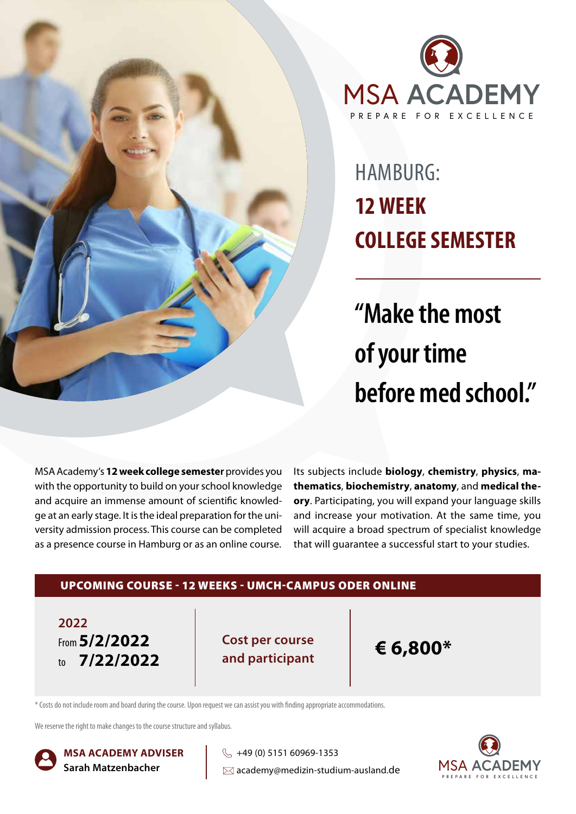



## HAMBURG: **12 WEEK COLLEGE SEMESTER**

**"Make the most of your time before med school."**

MSA Academy's **12 week college semester** provides you with the opportunity to build on your school knowledge and acquire an immense amount of scientific knowledge at an early stage. It is the ideal preparation for the university admission process. This course can be completed as a presence course in Hamburg or as an online course.

Its subjects include **biology**, **chemistry**, **physics**, **mathematics**, **biochemistry**, **anatomy**, and **medical theory**. Participating, you will expand your language skills and increase your motivation. At the same time, you will acquire a broad spectrum of specialist knowledge that will guarantee a successful start to your studies.



\* Costs do not include room and board during the course. Upon request we can assist you with finding appropriate accommodations.

We reserve the right to make changes to the course structure and syllabus.



**MSA ACADEMY ADVISER Sarah Matzenbacher**

 $\%$  +49 (0) 5151 60969-1353  $\boxtimes$  academy@medizin-studium-ausland.de